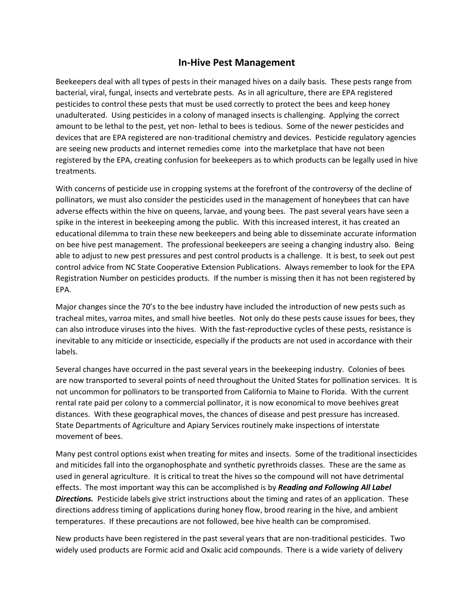## **In-Hive Pest Management**

Beekeepers deal with all types of pests in their managed hives on a daily basis. These pests range from bacterial, viral, fungal, insects and vertebrate pests. As in all agriculture, there are EPA registered pesticides to control these pests that must be used correctly to protect the bees and keep honey unadulterated. Using pesticides in a colony of managed insects is challenging. Applying the correct amount to be lethal to the pest, yet non- lethal to bees is tedious. Some of the newer pesticides and devices that are EPA registered are non-traditional chemistry and devices. Pesticide regulatory agencies are seeing new products and internet remedies come into the marketplace that have not been registered by the EPA, creating confusion for beekeepers as to which products can be legally used in hive treatments.

With concerns of pesticide use in cropping systems at the forefront of the controversy of the decline of pollinators, we must also consider the pesticides used in the management of honeybees that can have adverse effects within the hive on queens, larvae, and young bees. The past several years have seen a spike in the interest in beekeeping among the public. With this increased interest, it has created an educational dilemma to train these new beekeepers and being able to disseminate accurate information on bee hive pest management. The professional beekeepers are seeing a changing industry also. Being able to adjust to new pest pressures and pest control products is a challenge. It is best, to seek out pest control advice from NC State Cooperative Extension Publications. Always remember to look for the EPA Registration Number on pesticides products. If the number is missing then it has not been registered by EPA.

Major changes since the 70's to the bee industry have included the introduction of new pests such as tracheal mites, varroa mites, and small hive beetles. Not only do these pests cause issues for bees, they can also introduce viruses into the hives. With the fast-reproductive cycles of these pests, resistance is inevitable to any miticide or insecticide, especially if the products are not used in accordance with their labels.

Several changes have occurred in the past several years in the beekeeping industry. Colonies of bees are now transported to several points of need throughout the United States for pollination services. It is not uncommon for pollinators to be transported from California to Maine to Florida. With the current rental rate paid per colony to a commercial pollinator, it is now economical to move beehives great distances. With these geographical moves, the chances of disease and pest pressure has increased. State Departments of Agriculture and Apiary Services routinely make inspections of interstate movement of bees.

Many pest control options exist when treating for mites and insects. Some of the traditional insecticides and miticides fall into the organophosphate and synthetic pyrethroids classes. These are the same as used in general agriculture. It is critical to treat the hives so the compound will not have detrimental effects. The most important way this can be accomplished is by *Reading and Following All Label Directions.* Pesticide labels give strict instructions about the timing and rates of an application. These directions address timing of applications during honey flow, brood rearing in the hive, and ambient temperatures. If these precautions are not followed, bee hive health can be compromised.

New products have been registered in the past several years that are non-traditional pesticides. Two widely used products are Formic acid and Oxalic acid compounds. There is a wide variety of delivery